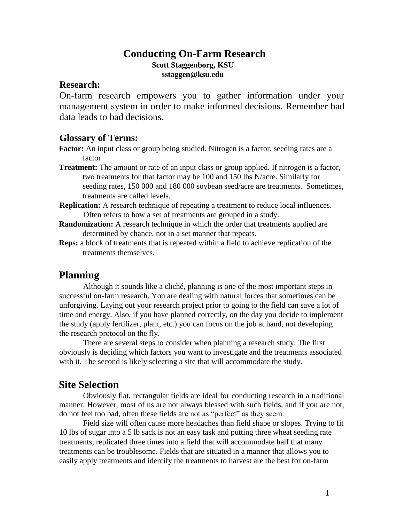# **Conducting On-Farm Research**

**Scott Staggenborg, KSU sstaggen@ksu.edu**

#### **Research:**

On-farm research empowers you to gather information under your management system in order to make informed decisions. Remember bad data leads to bad decisions.

### **Glossary of Terms:**

**Factor:** An input class or group being studied. Nitrogen is a factor, seeding rates are a factor.

- **Treatment:** The amount or rate of an input class or group applied. If nitrogen is a factor, two treatments for that factor may be 100 and 150 lbs N/acre. Similarly for seeding rates, 150 000 and 180 000 soybean seed/acre are treatments. Sometimes, treatments are called levels.
- **Replication:** A research technique of repeating a treatment to reduce local influences. Often refers to how a set of treatments are grouped in a study.
- **Randomization:** A research technique in which the order that treatments applied are determined by chance, not in a set manner that repeats.
- **Reps:** a block of treatments that is repeated within a field to achieve replication of the treatments themselves.

# **Planning**

Although it sounds like a cliché, planning is one of the most important steps in successful on-farm research. You are dealing with natural forces that sometimes can be unforgiving. Laying out your research project prior to going to the field can save a lot of time and energy. Also, if you have planned correctly, on the day you decide to implement the study (apply fertilizer, plant, etc.) you can focus on the job at hand, not developing the research protocol on the fly.

There are several steps to consider when planning a research study. The first obviously is deciding which factors you want to investigate and the treatments associated with it. The second is likely selecting a site that will accommodate the study.

## **Site Selection**

Obviously flat, rectangular fields are ideal for conducting research in a traditional manner. However, most of us are not always blessed with such fields, and if you are not, do not feel too bad, often these fields are not as "perfect" as they seem.

Field size will often cause more headaches than field shape or slopes. Trying to fit 10 lbs of sugar into a 5 lb sack is not an easy task and putting three wheat seeding rate treatments, replicated three times into a field that will accommodate half that many treatments can be troublesome. Fields that are situated in a manner that allows you to easily apply treatments and identify the treatments to harvest are the best for on-farm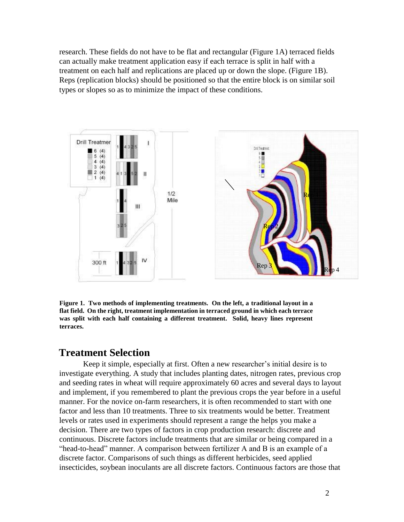research. These fields do not have to be flat and rectangular (Figure 1A) terraced fields can actually make treatment application easy if each terrace is split in half with a treatment on each half and replications are placed up or down the slope. (Figure 1B). Reps (replication blocks) should be positioned so that the entire block is on similar soil types or slopes so as to minimize the impact of these conditions.



**Figure 1. Two methods of implementing treatments. On the left, a traditional layout in a flat field. On the right, treatment implementation in terraced ground in which each terrace was split with each half containing a different treatment. Solid, heavy lines represent terraces.** 

## **Treatment Selection**

Keep it simple, especially at first. Often a new researcher's initial desire is to investigate everything. A study that includes planting dates, nitrogen rates, previous crop and seeding rates in wheat will require approximately 60 acres and several days to layout and implement, if you remembered to plant the previous crops the year before in a useful manner. For the novice on-farm researchers, it is often recommended to start with one factor and less than 10 treatments. Three to six treatments would be better. Treatment levels or rates used in experiments should represent a range the helps you make a decision. There are two types of factors in crop production research: discrete and continuous. Discrete factors include treatments that are similar or being compared in a "head-to-head" manner. A comparison between fertilizer A and B is an example of a discrete factor. Comparisons of such things as different herbicides, seed applied insecticides, soybean inoculants are all discrete factors. Continuous factors are those that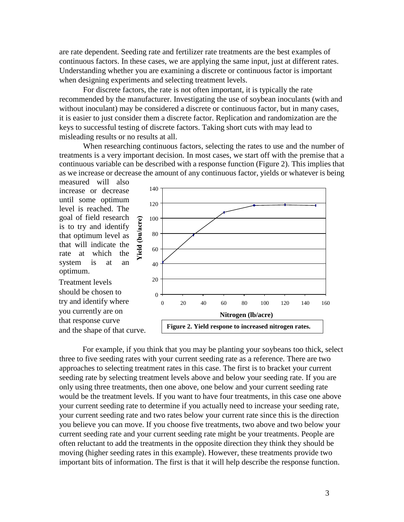are rate dependent. Seeding rate and fertilizer rate treatments are the best examples of continuous factors. In these cases, we are applying the same input, just at different rates. Understanding whether you are examining a discrete or continuous factor is important when designing experiments and selecting treatment levels.

For discrete factors, the rate is not often important, it is typically the rate recommended by the manufacturer. Investigating the use of soybean inoculants (with and without inoculant) may be considered a discrete or continuous factor, but in many cases, it is easier to just consider them a discrete factor. Replication and randomization are the keys to successful testing of discrete factors. Taking short cuts with may lead to misleading results or no results at all.

When researching continuous factors, selecting the rates to use and the number of treatments is a very important decision. In most cases, we start off with the premise that a continuous variable can be described with a response function (Figure 2). This implies that as we increase or decrease the amount of any continuous factor, yields or whatever is being

measured will also increase or decrease until some optimum level is reached. The goal of field research is to try and identify that optimum level as that will indicate the rate at which the system is at an optimum.

Treatment levels should be chosen to try and identify where you currently are on that response curve and the shape of that curve.



For example, if you think that you may be planting your soybeans too thick, select three to five seeding rates with your current seeding rate as a reference. There are two approaches to selecting treatment rates in this case. The first is to bracket your current seeding rate by selecting treatment levels above and below your seeding rate. If you are only using three treatments, then one above, one below and your current seeding rate would be the treatment levels. If you want to have four treatments, in this case one above your current seeding rate to determine if you actually need to increase your seeding rate, your current seeding rate and two rates below your current rate since this is the direction you believe you can move. If you choose five treatments, two above and two below your current seeding rate and your current seeding rate might be your treatments. People are often reluctant to add the treatments in the opposite direction they think they should be moving (higher seeding rates in this example). However, these treatments provide two important bits of information. The first is that it will help describe the response function.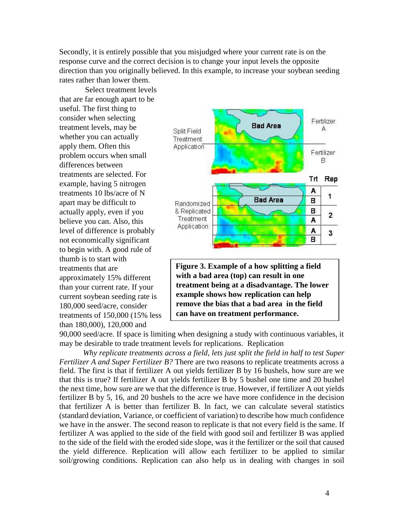Secondly, it is entirely possible that you misjudged where your current rate is on the response curve and the correct decision is to change your input levels the opposite direction than you originally believed. In this example, to increase your soybean seeding rates rather than lower them.

Select treatment levels that are far enough apart to be useful. The first thing to consider when selecting treatment levels, may be whether you can actually apply them. Often this problem occurs when small differences between treatments are selected. For example, having 5 nitrogen treatments 10 lbs/acre of N apart may be difficult to actually apply, even if you believe you can. Also, this level of difference is probably not economically significant to begin with. A good rule of thumb is to start with treatments that are approximately 15% different than your current rate. If your current soybean seeding rate is 180,000 seed/acre, consider treatments of 150,000 (15% less than 180,000), 120,000 and



**Figure 3. Example of a how splitting a field with a bad area (top) can result in one treatment being at a disadvantage. The lower example shows how replication can help remove the bias that a bad area in the field can have on treatment performance.**

90,000 seed/acre. If space is limiting when designing a study with continuous variables, it may be desirable to trade treatment levels for replications. Replication

*Why replicate treatments across a field, lets just split the field in half to test Super Fertilizer A and Super Fertilizer B?* There are two reasons to replicate treatments across a field. The first is that if fertilizer A out yields fertilizer B by 16 bushels, how sure are we that this is true? If fertilizer A out yields fertilizer B by 5 bushel one time and 20 bushel the next time, how sure are we that the difference is true. However, if fertilizer A out yields fertilizer B by 5, 16, and 20 bushels to the acre we have more confidence in the decision that fertilizer A is better than fertilizer B. In fact, we can calculate several statistics (standard deviation, Variance, or coefficient of variation) to describe how much confidence we have in the answer. The second reason to replicate is that not every field is the same. If fertilizer A was applied to the side of the field with good soil and fertilizer B was applied to the side of the field with the eroded side slope, was it the fertilizer or the soil that caused the yield difference. Replication will allow each fertilizer to be applied to similar soil/growing conditions. Replication can also help us in dealing with changes in soil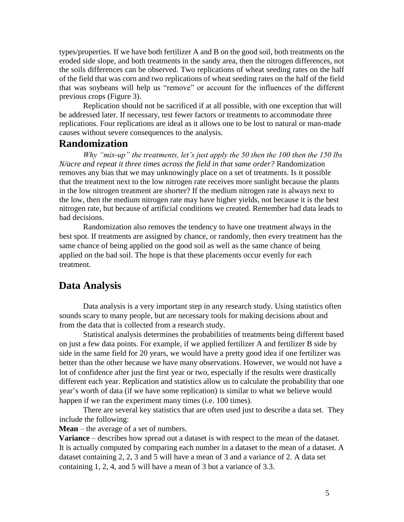types/properties. If we have both fertilizer A and B on the good soil, both treatments on the eroded side slope, and both treatments in the sandy area, then the nitrogen differences, not the soils differences can be observed. Two replications of wheat seeding rates on the half of the field that was corn and two replications of wheat seeding rates on the half of the field that was soybeans will help us "remove" or account for the influences of the different previous crops (Figure 3).

Replication should not be sacrificed if at all possible, with one exception that will be addressed later. If necessary, test fewer factors or treatments to accommodate three replications. Four replications are ideal as it allows one to be lost to natural or man-made causes without severe consequences to the analysis.

### **Randomization**

*Why "mix-up" the treatments, let's just apply the 50 then the 100 then the 150 lbs N/acre and repeat it three times across the field in that same order?* Randomization removes any bias that we may unknowingly place on a set of treatments. Is it possible that the treatment next to the low nitrogen rate receives more sunlight because the plants in the low nitrogen treatment are shorter? If the medium nitrogen rate is always next to the low, then the medium nitrogen rate may have higher yields, not because it is the best nitrogen rate, but because of artificial conditions we created. Remember bad data leads to bad decisions.

Randomization also removes the tendency to have one treatment always in the best spot. If treatments are assigned by chance, or randomly, then every treatment has the same chance of being applied on the good soil as well as the same chance of being applied on the bad soil. The hope is that these placements occur evenly for each treatment.

# **Data Analysis**

Data analysis is a very important step in any research study. Using statistics often sounds scary to many people, but are necessary tools for making decisions about and from the data that is collected from a research study.

Statistical analysis determines the probabilities of treatments being different based on just a few data points. For example, if we applied fertilizer A and fertilizer B side by side in the same field for 20 years, we would have a pretty good idea if one fertilizer was better than the other because we have many observations. However, we would not have a lot of confidence after just the first year or two, especially if the results were drastically different each year. Replication and statistics allow us to calculate the probability that one year's worth of data (if we have some replication) is similar to what we believe would happen if we ran the experiment many times (i.e. 100 times).

There are several key statistics that are often used just to describe a data set. They include the following:

**Mean** – the average of a set of numbers.

**Variance** – describes how spread out a dataset is with respect to the mean of the dataset. It is actually computed by comparing each number in a dataset to the mean of a dataset. A dataset containing 2, 2, 3 and 5 will have a mean of 3 and a variance of 2. A data set containing 1, 2, 4, and 5 will have a mean of 3 but a variance of 3.3.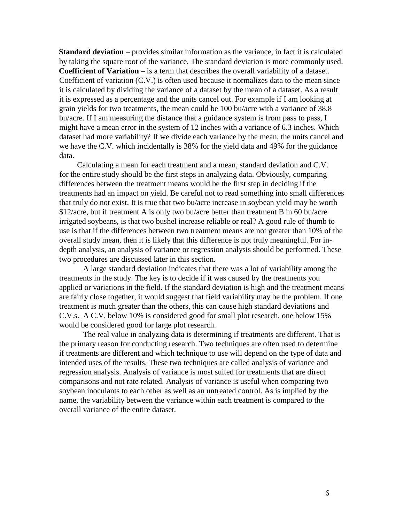**Standard deviation** – provides similar information as the variance, in fact it is calculated by taking the square root of the variance. The standard deviation is more commonly used. **Coefficient of Variation** – is a term that describes the overall variability of a dataset. Coefficient of variation (C.V.) is often used because it normalizes data to the mean since it is calculated by dividing the variance of a dataset by the mean of a dataset. As a result it is expressed as a percentage and the units cancel out. For example if I am looking at grain yields for two treatments, the mean could be 100 bu/acre with a variance of 38.8 bu/acre. If I am measuring the distance that a guidance system is from pass to pass, I might have a mean error in the system of 12 inches with a variance of 6.3 inches. Which dataset had more variability? If we divide each variance by the mean, the units cancel and we have the C.V. which incidentally is 38% for the yield data and 49% for the guidance data.

Calculating a mean for each treatment and a mean, standard deviation and C.V. for the entire study should be the first steps in analyzing data. Obviously, comparing differences between the treatment means would be the first step in deciding if the treatments had an impact on yield. Be careful not to read something into small differences that truly do not exist. It is true that two bu/acre increase in soybean yield may be worth \$12/acre, but if treatment A is only two bu/acre better than treatment B in 60 bu/acre irrigated soybeans, is that two bushel increase reliable or real? A good rule of thumb to use is that if the differences between two treatment means are not greater than 10% of the overall study mean, then it is likely that this difference is not truly meaningful. For indepth analysis, an analysis of variance or regression analysis should be performed. These two procedures are discussed later in this section.

A large standard deviation indicates that there was a lot of variability among the treatments in the study. The key is to decide if it was caused by the treatments you applied or variations in the field. If the standard deviation is high and the treatment means are fairly close together, it would suggest that field variability may be the problem. If one treatment is much greater than the others, this can cause high standard deviations and C.V.s. A C.V. below 10% is considered good for small plot research, one below 15% would be considered good for large plot research.

The real value in analyzing data is determining if treatments are different. That is the primary reason for conducting research. Two techniques are often used to determine if treatments are different and which technique to use will depend on the type of data and intended uses of the results. These two techniques are called analysis of variance and regression analysis. Analysis of variance is most suited for treatments that are direct comparisons and not rate related. Analysis of variance is useful when comparing two soybean inoculants to each other as well as an untreated control. As is implied by the name, the variability between the variance within each treatment is compared to the overall variance of the entire dataset.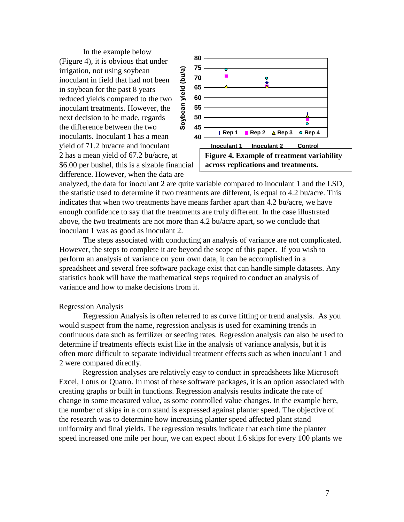In the example below (Figure 4), it is obvious that under Soybean yield (bu/a) irrigation, not using soybean inoculant in field that had not been in soybean for the past 8 years reduced yields compared to the two inoculant treatments. However, the next decision to be made, regards the difference between the two inoculants. Inoculant 1 has a mean yield of 71.2 bu/acre and inoculant 2 has a mean yield of 67.2 bu/acre, at \$6.00 per bushel, this is a sizable financial difference. However, when the data are



analyzed, the data for inoculant 2 are quite variable compared to inoculant 1 and the LSD, the statistic used to determine if two treatments are different, is equal to 4.2 bu/acre. This indicates that when two treatments have means farther apart than 4.2 bu/acre, we have enough confidence to say that the treatments are truly different. In the case illustrated above, the two treatments are not more than 4.2 bu/acre apart, so we conclude that inoculant 1 was as good as inoculant 2.

The steps associated with conducting an analysis of variance are not complicated. However, the steps to complete it are beyond the scope of this paper. If you wish to perform an analysis of variance on your own data, it can be accomplished in a spreadsheet and several free software package exist that can handle simple datasets. Any statistics book will have the mathematical steps required to conduct an analysis of variance and how to make decisions from it.

#### Regression Analysis

Regression Analysis is often referred to as curve fitting or trend analysis. As you would suspect from the name, regression analysis is used for examining trends in continuous data such as fertilizer or seeding rates. Regression analysis can also be used to determine if treatments effects exist like in the analysis of variance analysis, but it is often more difficult to separate individual treatment effects such as when inoculant 1 and 2 were compared directly.

Regression analyses are relatively easy to conduct in spreadsheets like Microsoft Excel, Lotus or Quatro. In most of these software packages, it is an option associated with creating graphs or built in functions. Regression analysis results indicate the rate of change in some measured value, as some controlled value changes. In the example here, the number of skips in a corn stand is expressed against planter speed. The objective of the research was to determine how increasing planter speed affected plant stand uniformity and final yields. The regression results indicate that each time the planter speed increased one mile per hour, we can expect about 1.6 skips for every 100 plants we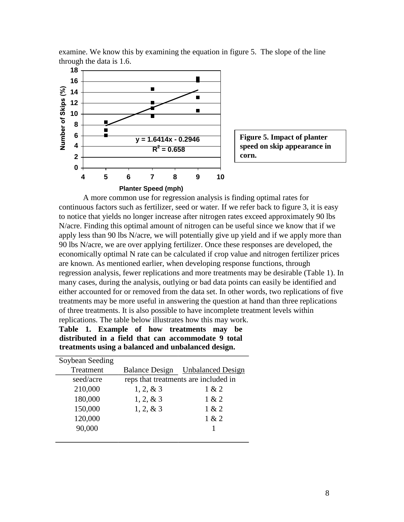

examine. We know this by examining the equation in figure 5. The slope of the line through the data is 1.6.

A more common use for regression analysis is finding optimal rates for continuous factors such as fertilizer, seed or water. If we refer back to figure 3, it is easy to notice that yields no longer increase after nitrogen rates exceed approximately 90 lbs N/acre. Finding this optimal amount of nitrogen can be useful since we know that if we apply less than 90 lbs N/acre, we will potentially give up yield and if we apply more than 90 lbs N/acre, we are over applying fertilizer. Once these responses are developed, the economically optimal N rate can be calculated if crop value and nitrogen fertilizer prices are known. As mentioned earlier, when developing response functions, through regression analysis, fewer replications and more treatments may be desirable (Table 1). In many cases, during the analysis, outlying or bad data points can easily be identified and either accounted for or removed from the data set. In other words, two replications of five treatments may be more useful in answering the question at hand than three replications of three treatments. It is also possible to have incomplete treatment levels within replications. The table below illustrates how this may work.

|  |  |  | Table 1. Example of how treatments may be           |  |
|--|--|--|-----------------------------------------------------|--|
|  |  |  | distributed in a field that can accommodate 9 total |  |
|  |  |  | treatments using a balanced and unbalanced design.  |  |

| Soybean Seeding |                                      |                                  |  |
|-----------------|--------------------------------------|----------------------------------|--|
| Treatment       |                                      | Balance Design Unbalanced Design |  |
| seed/acre       | reps that treatments are included in |                                  |  |
| 210,000         | $1, 2, \& 3$                         | 1 & 2                            |  |
| 180,000         | $1, 2, \& 3$                         | 1 & 2                            |  |
| 150,000         | $1, 2, \& 3$                         | 1 & 2                            |  |
| 120,000         |                                      | 1 & 2                            |  |
| 90,000          |                                      |                                  |  |
|                 |                                      |                                  |  |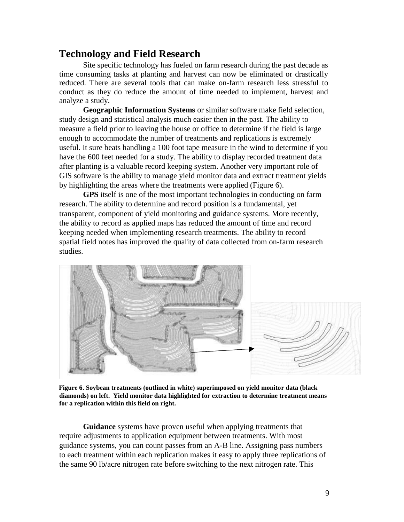# **Technology and Field Research**

Site specific technology has fueled on farm research during the past decade as time consuming tasks at planting and harvest can now be eliminated or drastically reduced. There are several tools that can make on-farm research less stressful to conduct as they do reduce the amount of time needed to implement, harvest and analyze a study.

**Geographic Information Systems** or similar software make field selection, study design and statistical analysis much easier then in the past. The ability to measure a field prior to leaving the house or office to determine if the field is large enough to accommodate the number of treatments and replications is extremely useful. It sure beats handling a 100 foot tape measure in the wind to determine if you have the 600 feet needed for a study. The ability to display recorded treatment data after planting is a valuable record keeping system. Another very important role of GIS software is the ability to manage yield monitor data and extract treatment yields by highlighting the areas where the treatments were applied (Figure 6).

**GPS** itself is one of the most important technologies in conducting on farm research. The ability to determine and record position is a fundamental, yet transparent, component of yield monitoring and guidance systems. More recently, the ability to record as applied maps has reduced the amount of time and record keeping needed when implementing research treatments. The ability to record spatial field notes has improved the quality of data collected from on-farm research studies.



**Figure 6. Soybean treatments (outlined in white) superimposed on yield monitor data (black diamonds) on left. Yield monitor data highlighted for extraction to determine treatment means for a replication within this field on right.** 

**Guidance** systems have proven useful when applying treatments that require adjustments to application equipment between treatments. With most guidance systems, you can count passes from an A-B line. Assigning pass numbers to each treatment within each replication makes it easy to apply three replications of the same 90 lb/acre nitrogen rate before switching to the next nitrogen rate. This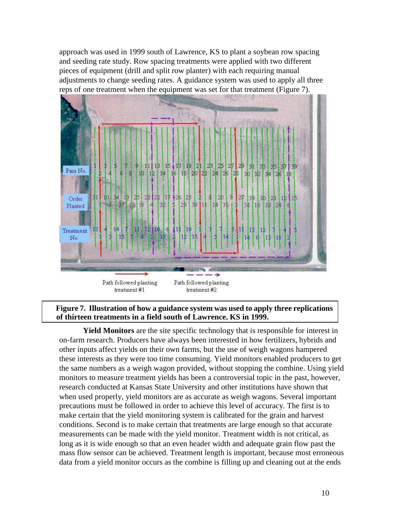approach was used in 1999 south of Lawrence, KS to plant a soybean row spacing and seeding rate study. Row spacing treatments were applied with two different pieces of equipment (drill and split row planter) with each requiring manual adjustments to change seeding rates. A guidance system was used to apply all three reps of one treatment when the equipment was set for that treatment (Figure 7).



#### **Figure 7. Illustration of how a guidance system was used to apply three replications of thirteen treatments in a field south of Lawrence, KS in 1999.**

**Yield Monitors** are the site specific technology that is responsible for interest in on-farm research. Producers have always been interested in how fertilizers, hybrids and other inputs affect yields on their own farms, but the use of weigh wagons hampered these interests as they were too time consuming. Yield monitors enabled producers to get the same numbers as a weigh wagon provided, without stopping the combine. Using yield monitors to measure treatment yields has been a controversial topic in the past, however, research conducted at Kansas State University and other institutions have shown that when used properly, yield monitors are as accurate as weigh wagons. Several important precautions must be followed in order to achieve this level of accuracy. The first is to make certain that the yield monitoring system is calibrated for the grain and harvest conditions. Second is to make certain that treatments are large enough so that accurate measurements can be made with the yield monitor. Treatment width is not critical, as long as it is wide enough so that an even header width and adequate grain flow past the mass flow sensor can be achieved. Treatment length is important, because most erroneous data from a yield monitor occurs as the combine is filling up and cleaning out at the ends